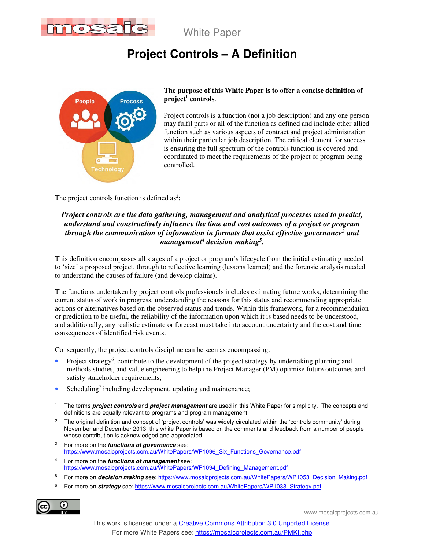

White Paper

# **Project Controls – A Definition**



#### **The purpose of this White Paper is to offer a concise definition of project<sup>1</sup> controls**.

Project controls is a function (not a job description) and any one person may fulfil parts or all of the function as defined and include other allied function such as various aspects of contract and project administration within their particular job description. The critical element for success is ensuring the full spectrum of the controls function is covered and coordinated to meet the requirements of the project or program being controlled.

The project controls function is defined as<sup>2</sup>:

### *Project controls are the data gathering, management and analytical processes used to predict, understand and constructively influence the time and cost outcomes of a project or program through the communication of information in formats that assist effective governance<sup>3</sup> and management<sup>4</sup> decision making<sup>5</sup> .*

This definition encompasses all stages of a project or program's lifecycle from the initial estimating needed to 'size' a proposed project, through to reflective learning (lessons learned) and the forensic analysis needed to understand the causes of failure (and develop claims).

The functions undertaken by project controls professionals includes estimating future works, determining the current status of work in progress, understanding the reasons for this status and recommending appropriate actions or alternatives based on the observed status and trends. Within this framework, for a recommendation or prediction to be useful, the reliability of the information upon which it is based needs to be understood, and additionally, any realistic estimate or forecast must take into account uncertainty and the cost and time consequences of identified risk events.

Consequently, the project controls discipline can be seen as encompassing:

- Project strategy<sup>6</sup>, contribute to the development of the project strategy by undertaking planning and methods studies, and value engineering to help the Project Manager (PM) optimise future outcomes and satisfy stakeholder requirements;
- Scheduling<sup>7</sup> including development, updating and maintenance;
- 1 The terms **project controls** and **project management** are used in this White Paper for simplicity. The concepts and definitions are equally relevant to programs and program management.
- 2 The original definition and concept of 'project controls' was widely circulated within the 'controls community' during November and December 2013, this white Paper is based on the comments and feedback from a number of people whose contribution is acknowledged and appreciated.
- 3 For more on the **functions of governance** see: https://www.mosaicprojects.com.au/WhitePapers/WP1096\_Six\_Functions\_Governance.pdf
- 4 For more on the **functions of management** see: https://www.mosaicprojects.com.au/WhitePapers/WP1094\_Defining\_Management.pdf
- 5 For more on **decision making** see: https://www.mosaicprojects.com.au/WhitePapers/WP1053\_Decision\_Making.pdf
- 6 For more on **strategy** see: https://www.mosaicprojects.com.au/WhitePapers/WP1038\_Strategy.pdf

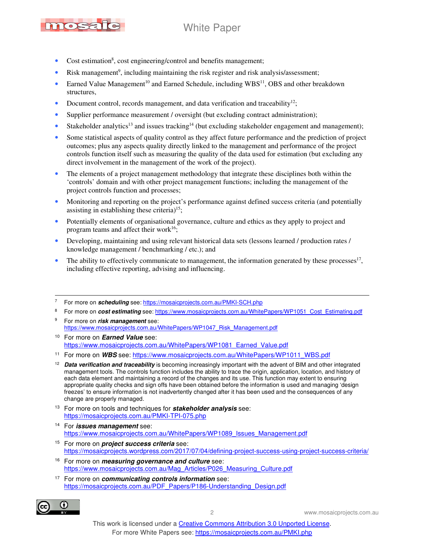# mosa

# White Paper

- Cost estimation<sup>8</sup>, cost engineering/control and benefits management;
- Risk management<sup>9</sup>, including maintaining the risk register and risk analysis/assessment;
- Earned Value Management<sup>10</sup> and Earned Schedule, including  $WBS<sup>11</sup>$ , OBS and other breakdown structures,
- Document control, records management, and data verification and traceability<sup>12</sup>;
- Supplier performance measurement / oversight (but excluding contract administration);
- Stakeholder analytics<sup>13</sup> and issues tracking<sup>14</sup> (but excluding stakeholder engagement and management);
- Some statistical aspects of quality control as they affect future performance and the prediction of project outcomes; plus any aspects quality directly linked to the management and performance of the project controls function itself such as measuring the quality of the data used for estimation (but excluding any direct involvement in the management of the work of the project).
- The elements of a project management methodology that integrate these disciplines both within the 'controls' domain and with other project management functions; including the management of the project controls function and processes;
- Monitoring and reporting on the project's performance against defined success criteria (and potentially assisting in establishing these criteria) $15$ ;
- Potentially elements of organisational governance, culture and ethics as they apply to project and program teams and affect their work<sup>16</sup>;
- Developing, maintaining and using relevant historical data sets (lessons learned / production rates / knowledge management / benchmarking / etc.); and
- $\bullet$  The ability to effectively communicate to management, the information generated by these processes<sup>17</sup>, including effective reporting, advising and influencing.

- 8 For more on **cost estimating** see: https://www.mosaicprojects.com.au/WhitePapers/WP1051\_Cost\_Estimating.pdf
- 9 For more on **risk management** see: https://www.mosaicprojects.com.au/WhitePapers/WP1047\_Risk\_Management.pdf
- <sup>10</sup> For more on **Earned Value** see: https://www.mosaicprojects.com.au/WhitePapers/WP1081\_Earned\_Value.pdf
- <sup>11</sup> For more on WBS see: https://www.mosaicprojects.com.au/WhitePapers/WP1011\_WBS.pdf
- <sup>12</sup> Data verification and traceability is becoming increasingly important with the advent of BIM and other integrated management tools. The controls function includes the ability to trace the origin, application, location, and history of each data element and maintaining a record of the changes and its use. This function may extent to ensuring appropriate quality checks and sign offs have been obtained before the information is used and managing 'design freezes' to ensure information is not inadvertently changed after it has been used and the consequences of any change are properly managed.
- <sup>13</sup> For more on tools and techniques for **stakeholder analysis** see: https://mosaicprojects.com.au/PMKI-TPI-075.php
- <sup>14</sup> For **issues management** see: https://www.mosaicprojects.com.au/WhitePapers/WP1089\_Issues\_Management.pdf
- <sup>15</sup> For more on **project success criteria** see: https://mosaicprojects.wordpress.com/2017/07/04/defining-project-success-using-project-success-criteria/
- <sup>16</sup> For more on **measuring governance and culture** see: https://www.mosaicprojects.com.au/Mag\_Articles/P026\_Measuring\_Culture.pdf
- <sup>17</sup> For more on **communicating controls information** see: https://mosaicprojects.com.au/PDF\_Papers/P186-Understanding\_Design.pdf



<sup>7</sup> For more on **scheduling** see: https://mosaicprojects.com.au/PMKI-SCH.php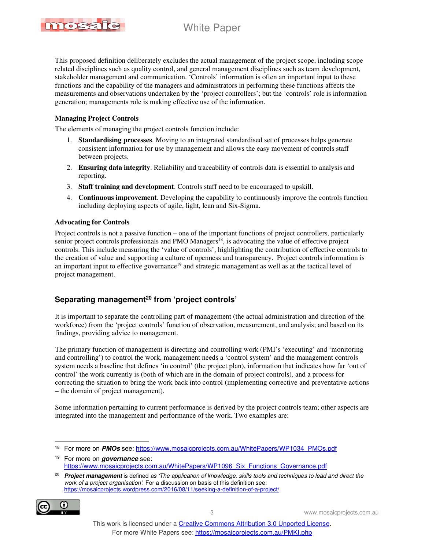

This proposed definition deliberately excludes the actual management of the project scope, including scope related disciplines such as quality control, and general management disciplines such as team development, stakeholder management and communication. 'Controls' information is often an important input to these functions and the capability of the managers and administrators in performing these functions affects the measurements and observations undertaken by the 'project controllers'; but the 'controls' role is information generation; managements role is making effective use of the information.

#### **Managing Project Controls**

The elements of managing the project controls function include:

- 1. **Standardising processes**. Moving to an integrated standardised set of processes helps generate consistent information for use by management and allows the easy movement of controls staff between projects.
- 2. **Ensuring data integrity**. Reliability and traceability of controls data is essential to analysis and reporting.
- 3. **Staff training and development**. Controls staff need to be encouraged to upskill.
- 4. **Continuous improvement**. Developing the capability to continuously improve the controls function including deploying aspects of agile, light, lean and Six-Sigma.

#### **Advocating for Controls**

Project controls is not a passive function – one of the important functions of project controllers, particularly senior project controls professionals and PMO Managers<sup>18</sup>, is advocating the value of effective project controls. This include measuring the 'value of controls', highlighting the contribution of effective controls to the creation of value and supporting a culture of openness and transparency. Project controls information is an important input to effective governance<sup>19</sup> and strategic management as well as at the tactical level of project management.

### **Separating management<sup>20</sup> from 'project controls'**

It is important to separate the controlling part of management (the actual administration and direction of the workforce) from the 'project controls' function of observation, measurement, and analysis; and based on its findings, providing advice to management.

The primary function of management is directing and controlling work (PMI's 'executing' and 'monitoring and controlling') to control the work, management needs a 'control system' and the management controls system needs a baseline that defines 'in control' (the project plan), information that indicates how far 'out of control' the work currently is (both of which are in the domain of project controls), and a process for correcting the situation to bring the work back into control (implementing corrective and preventative actions – the domain of project management).

Some information pertaining to current performance is derived by the project controls team; other aspects are integrated into the management and performance of the work. Two examples are:

<sup>19</sup> For more on **governance** see: https://www.mosaicprojects.com.au/WhitePapers/WP1096\_Six\_Functions\_Governance.pdf

<sup>&</sup>lt;sup>20</sup> Project management is defined as 'The application of knowledge, skills tools and techniques to lead and direct the work of a project organisation'. For a discussion on basis of this definition see: https://mosaicprojects.wordpress.com/2016/08/11/seeking-a-definition-of-a-project/



<sup>&</sup>lt;sup>18</sup> For more on **PMOs** see: https://www.mosaicprojects.com.au/WhitePapers/WP1034\_PMOs.pdf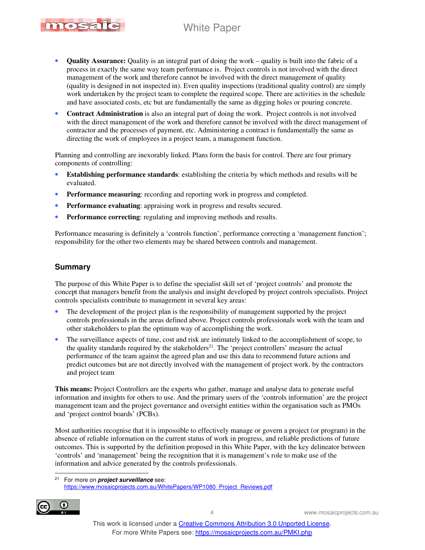## White Paper



- **Quality Assurance:** Quality is an integral part of doing the work quality is built into the fabric of a process in exactly the same way team performance is. Project controls is not involved with the direct management of the work and therefore cannot be involved with the direct management of quality (quality is designed in not inspected in). Even quality inspections (traditional quality control) are simply work undertaken by the project team to complete the required scope. There are activities in the schedule and have associated costs, etc but are fundamentally the same as digging holes or pouring concrete.
- **Contract Administration** is also an integral part of doing the work. Project controls is not involved with the direct management of the work and therefore cannot be involved with the direct management of contractor and the processes of payment, etc. Administering a contract is fundamentally the same as directing the work of employees in a project team, a management function.

Planning and controlling are inexorably linked. Plans form the basis for control. There are four primary components of controlling:

- **Establishing performance standards**: establishing the criteria by which methods and results will be evaluated.
- **Performance measuring**: recording and reporting work in progress and completed.
- **Performance evaluating**: appraising work in progress and results secured.
- **Performance correcting**: regulating and improving methods and results.

Performance measuring is definitely a 'controls function', performance correcting a 'management function'; responsibility for the other two elements may be shared between controls and management.

#### **Summary**

The purpose of this White Paper is to define the specialist skill set of 'project controls' and promote the concept that managers benefit from the analysis and insight developed by project controls specialists. Project controls specialists contribute to management in several key areas:

- The development of the project plan is the responsibility of management supported by the project controls professionals in the areas defined above. Project controls professionals work with the team and other stakeholders to plan the optimum way of accomplishing the work.
- The surveillance aspects of time, cost and risk are intimately linked to the accomplishment of scope, to the quality standards required by the stakeholders<sup>21</sup>. The 'project controllers' measure the actual performance of the team against the agreed plan and use this data to recommend future actions and predict outcomes but are not directly involved with the management of project work. by the contractors and project team

**This means:** Project Controllers are the experts who gather, manage and analyse data to generate useful information and insights for others to use. And the primary users of the 'controls information' are the project management team and the project governance and oversight entities within the organisation such as PMOs and 'project control boards' (PCBs).

Most authorities recognise that it is impossible to effectively manage or govern a project (or program) in the absence of reliable information on the current status of work in progress, and reliable predictions of future outcomes. This is supported by the definition proposed in this White Paper, with the key delineator between 'controls' and 'management' being the recognition that it is management's role to make use of the information and advice generated by the controls professionals.

<sup>21</sup> For more on **project surveillance** see: https://www.mosaicprojects.com.au/WhitePapers/WP1080\_Project\_Reviews.pdf